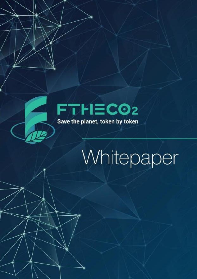

# Whitepaper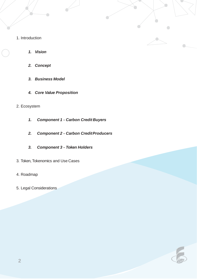- 1. Introduction
	- *1. Vision*
	- *2. Concept*
	- *3. Business Model*
	- *4. Core Value Proposition*
- 2. Ecosystem
	- *1. Component 1 - Carbon Credit Buyers*
	- *2. Component 2 - Carbon CreditProducers*
	- *3. Component 3 - Token Holders*
- 3. Token, Tokenomics and Use Cases
- 4. Roadmap
- 5. Legal Considerations

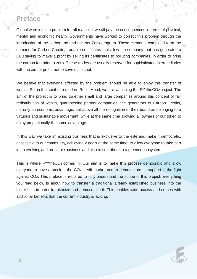### **Preface**

Global warming is a problem for all mankind, we all pay the consequences in terms of physical, mental and economic health. Governments have worked to correct this problem through the introduction of the carbon tax and the Net Zero program. These elements combined form the demand for Carbon Credits, tradable certificates that allow the company that has generated a CO2 saving to make a profit by selling its certificates to polluting companies, in order to bring the carbon footprint to zero. These trades are usually reserved for sophisticated intermediaries with the aim of profit, not to save ourplanet.

We believe that everyone affected by the problem should be able to enjoy this transfer of wealth. So, in the spirit of a modern Robin Hood, we are launching the  $F^{***}$ theCO<sub>2</sub> project. The aim of the project is to bring together small and large companies around this concept of fair redistribution of wealth, guaranteeing partner companies, the generators of Carbon Credits, not only an economic advantage, but above all the recognition of their brand as belonging to a virtuous and sustainable movement, while at the same time allowing all owners of our token to enjoy proportionally the same advantage.

In this way we take an existing business that is exclusive to the elite and make it democratic, accessible to our community, achieving 2 goals at the same time: to allow everyone to take part in an evolving and profitable business and also to contribute to a greener ecosystem.

This is where F\*\*\*theCO<sub>2</sub> comes in. Our aim is to make this process democratic and allow everyone to have a stock in the CO2 credit market and to demonstrate its support in the fight against CO2. This preface is required to fully understand the scope of this project. Everything you read below is about how to transfer a traditional already established business into the blockchain in order to tokenize and democratize it. This enables wide access and comes with additional benefits that the current industry is lacking.

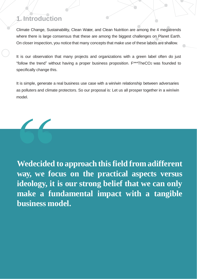## **1. Introduction**

Climate Change, Sustainability, Clean Water, and Clean Nutrition are among the 4 megatrends where there is large consensus that these are among the biggest challenges on Planet Earth. On closer inspection, you notice that many concepts that make use of these labels are shallow.

It is our observation that many projects and organizations with a green label often do just "follow the trend" without having a proper business proposition. F\*\*\*TheCO2 was founded to specifically change this.

It is simple, generate a real business use case with a win/win relationship between adversaries as polluters and climate protectors. So our proposal is: Let us all prosper together in a win/win model.



**Wedecided to approach thisfield from adifferent way, we focus on the practical aspects versus ideology, it is our strong belief that we can only make a fundamental impact with a tangible business model.**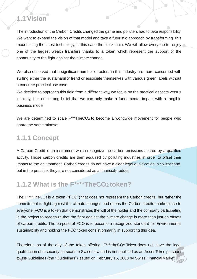## **1.1 Vision**

The introduction of the Carbon Credits changed the game and polluters had to take responsibility. We want to expand the vision of that model and take a futuristic approach by transforming this model using the latest technology, in this case the blockchain. We will allow everyone to enjoy one of the largest wealth transfers thanks to a token which represent the support of the community to the fight against the climate change.

We also observed that a significant number of actors in this industry are more concerned with surfing either the sustainability trend or associate themselves with various green labels without a concrete practical use case.

We decided to approach this field from a different way, we focus on the practical aspects versus ideology, it is our strong belief that we can only make a fundamental impact with a tangible business model.

We are determined to scale  $F^{***}$ TheCO<sub>2</sub> to become a worldwide movement for people who share the same mindset.

## **1.1.1 Concept**

A Carbon Credit is an instrument which recognize the carbon emissions spared by a qualified activity. Those carbon credits are then acquired by polluting industries in order to offset their impact to the environment. Carbon credits do not have a clear legal qualification in Switzerland, but in the practice, they are not considered as a financialproduct.

## **1.1.2 What is the F\*\*\*\*TheCO<sup>2</sup> token?**

The F\*\*\*\*TheCO2 is a token ("FCO") that does not represent the Carbon credits, but rather the commitment to fight against the climate changes and opens the Carbon credits marketplace to everyone. FCO is a token that demonstrates the will of the holder and the company participating in the project to recognize that the fight against the climate change is more than just an offsets of carbon credits. The purpose of FCO is to become a recognized standard for Environmental sustainability and holding the FCO token consist primarily in supporting thisidea.

Therefore, as of the day of the token offering, F\*\*\*\*theCO2 Token does not have the legal qualification of a security pursuant to Swiss Law and is not qualified as an Asset Token pursuant to**5** the Guidelines (the "Guidelines") issued on February 16, 2008 by Swiss FinancialMarket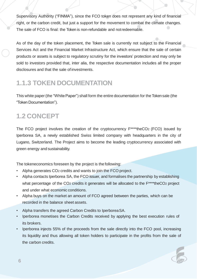Supervisory Authority ("FINMA"), since the FCO token does not represent any kind of financial right, or the carbon credit, but just a support for the movement to combat the climate changes. The sale of FCO is final: the Token is non-refundable and notredeemable.

As of the day of the token placement, the Token sale is currently not subject to the Financial Services Act and the Financial Market Infrastructure Act, which ensure that the sale of certain products or assets is subject to regulatory scrutiny for the investors' protection and may only be sold to investors provided that, inter alia, the respective documentation includes all the proper disclosures and that the sale of investments.

## **1.1.3 TOKEN DOCUMENTATION**

This white paper (the "White Paper") shall form the entire documentation for the Token sale (the "Token Documentation").

## **1.2 CONCEPT**

The FCO project involves the creation of the cryptocurrency F\*\*\*\*theCO2 (FCO) issued by Iperborea SA, a newly established Swiss limited company with headquarters in the city of Lugano, Switzerland. The Project aims to become the leading cryptocurrency associated with green energy and sustainability.

The tokeneconomics foreseen by the project is the following:

- Alpha generates CO2 credits and wants to join the FCO project.
- Alpha contacts Iperborea SA, the FCO issuer, and formalises the partnership by establishing what percentage of the CO<sub>2</sub> credits it generates will be allocated to the F<sup>\*\*\*\*</sup>theCO<sub>2</sub> project and under what economic conditions.
- Alpha buys on the market an amount of FCO agreed between the parties, which can be recorded in the balance sheet assets.
- Alpha transfers the agreed Carbon Credits to IperboreaSA.
- Iperborea monetises the Carbon Credits received by applying the best execution rules of its brokers.
- Iperborea injects 55% of the proceeds from the sale directly into the FCO pool, increasing its liquidity and thus allowing all token holders to participate in the profits from the sale of the carbon credits.

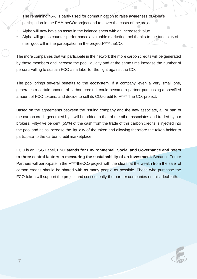- The remaining 45% is partly used for communication to raise awareness ofAlpha's participation in the F\*\*\*\*theCO2 project and to cover the costs of the project.
- Alpha will now have an asset in the balance sheet with an increased value.
- Alpha will get as counter-performance a valuable marketing tool thanks to the tangibility of their goodwill in the participation in the projectF\*\*\*\*theCO2.

The more companies that will participate in the network the more carbon credits will be generated by those members and increase the pool liquidity and at the same time increase the number of persons willing to sustain FCO as a label for the fight against the CO2.

The pool brings several benefits to the ecosystem. If a company, even a very small one, generates a certain amount of carbon credit, it could become a partner purchasing a specified amount of FCO tokens, and decide to sell its CO2 credit to F\*\*\*\* The CO2 project.

Based on the agreements between the issuing company and the new associate, all or part of the carbon credit generated by it will be added to that of the other associates and traded by our brokers. Fifty-five percent (55%) of the cash from the trade of this carbon credits is injected into the pool and helps increase the liquidity of the token and allowing therefore the token holder to participate to the carbon credit marketplace.

FCO is an ESG Label, **ESG stands for Environmental, Social and Governance and refers to three central factors in measuring the sustainability of an investment.** Because Future Partners will participate in the F<sup>\*\*\*\*</sup>theCO<sub>2</sub> project with the idea that the wealth from the sale of carbon credits should be shared with as many people as possible. Those who purchase the FCO token will support the project and consequently the partner companies on this idealpath.

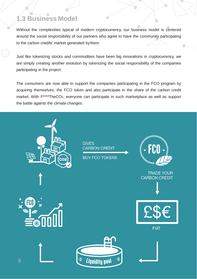## **1.3 Business Model**

Without the complexities typical of modern cryptocurrency, our business model is centered around the social responsibility of our partners who agree to have the community participating to the carbon credits' market generated bythem.

Just like tokenizing stocks and commodities have been big innovations in cryptocurrency, we are simply creating another evolution by tokenizing the social responsibility of the companies participating in the project.

The consumers are now able to support the companies participating in the FCO program by acquiring themselves, the FCO token and also participate in the share of the carbon credit market. With F\*\*\*\*TheCO2, everyone can participate in such marketplace as well as support the battle against the climate changes.

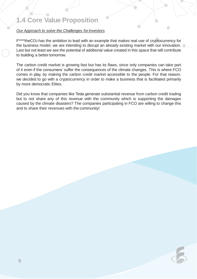## **1.4 Core Value Proposition**

#### *Our Approach to solve the Challenges forInvestors*

F\*\*\*\*theCO2 has the ambition to lead with an example that makes real use of cryptocurrency for the business model, we are intending to disrupt an already existing market with our innovation. Last but not least we see the potential of additional value created in this space that will contribute to building a better tomorrow.

The carbon credit market is growing fast but has its flaws, since only companies can take part of it even if the consumers' suffer the consequences of the climate changes. This is where FCO comes in play, by making the carbon credit market accessible to the people. For that reason, we decided to go with a cryptocurrency in order to make a business that is facilitated primarily by more democratic Elites.

Did you know that companies like Tesla generate substantial revenue from carbon credit trading but to not share any of this revenue with the community which is supporting the damages caused by the climate disasters? The companies participating in FCO are willing to change this and to share their revenues with the community!



 $\bigcirc$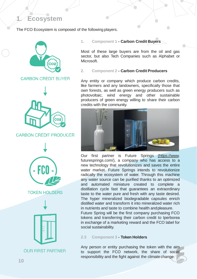## **1. Ecosystem**

The FCO Ecosystem is composed of the following players.



**CARBON CREDIT BUYER** 



#### **CARBON CREDIT PRODUCER**



**TOKEN HOLDERS** 



**1. Component 1 - Carbon Credit Buyers**

Most of these large buyers are from the oil and gas sector, but also Tech Companies such as Alphabet or Microsoft.

 $\bullet$ 

#### **2. Component 2 - Carbon Credit Producers**

Any entity or company which produce carbon credits, like farmers and any landowners, specifically those that own forests, as well as green energy producers such as photovoltaic, wind energy and other sustainable producers of green energy willing to share their carbon credits with the community.



Our first partner is Future Springs [\(https://www.](http://www/) futuresprings.com/), a company who has access to a new technology that revolutionizes and saves the entire water market. Future Springs intends to revolutionize radically the ecosystem of water. Through this machine any water source can be purified thanks to an optimized and automated miniature created to complete a distillation cycle fast that guarantees an extraordinary taste to the water pure and fresh with any taste desired. The hyper mineralized biodegradable capsules enrich distilled water and transform it into mineralized water rich in nutrients and taste to combine health andpleasure.

Future Spring will be the first company purchasing FCO tokens and transferring their carbon credit to Iperborea in exchange of a marketing reward and the FCO label for social sustainability.

#### **2.3 Component 3 - Token Holders**

Any person or entity purchasing the token with the aim to support the FCO network, the share of social responsibility and the fight against the climate change.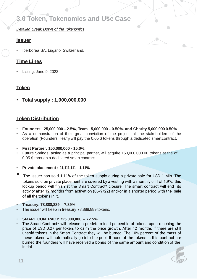## **3.0 Token, Tokenomics and Use Case**

#### *Detailed Break Down of the Tokenomics*

#### **Issuer**

• Iperborea SA, Lugano, Switzerland.

#### **Time Lines**

• Listing: June 9, 2022

#### **Token**

• **Total supply : 1,000,000,000**

#### **Token Distribution**

- **Founders : 25,000,000 - 2.5%, Team : 5,000,000 - 0.50%. and Charity 5,000,000 0.50%**
- As a demonstration of their great conviction of the project, all the stakeholders of the operation (Founders, Team) will pay the 0.05 \$ tokens through a dedicated smartcontract.
- **First Partner: 150,000,000 - 15.0%.**
- Future Springs, acting as a principal partner, will acquire 150,000,000.00 tokens at the of 0.05 \$ through a dedicated smart contract
- **Private placement : 11,111,111 - 1.11%.**
- The issuer has sold 1.11% of the token supply during <sup>a</sup> private sale for USD <sup>1</sup> Mio. The tokens sold on private placement are covered by a vesting with a monthly cliff of 1.9%, this lockup period will finish at the Smart Contract\* closure. The smart contract will end its activity after 12 months from activation (06/9/22) and/or in a shorter period with the sale of all the tokens in it.
- **Treasury: 78,888,889 – 7.89%**
- The issuer will keep in treasury 78,888,889 tokens.
- **SMART CONTRACT: 725,000,000 – 72.5%**
- The Smart Contract\* will release a predetermined percentile of tokens upon reaching the price of USD 0.27 per token, to calm the price growth. After 12 months if there are still unsold tokens in the Smart Contract they will be burned. The 10% percent of the mass of these tokens will automatically go into the pool. If none of the tokens in this contract are burned the founders will have received a bonus of the same amount and condition of the initial.

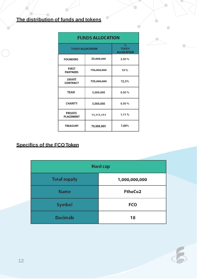## **The distribution of funds and tokens**

| <b>FUNDS ALLOCATION</b>            |             |                                           |
|------------------------------------|-------------|-------------------------------------------|
| <b>TOKEN ALLOCATION</b>            |             | $\%$<br><b>TOKEN</b><br><b>ALLOCATION</b> |
| <b>FOUNDERS</b>                    | 25,000,000  | 2.50%                                     |
| <b>FIRST</b><br><b>PARTNERS</b>    | 150,000,000 | 15%                                       |
| <b>SMART</b><br><b>CONTRACT</b>    | 725,000,000 | 72.5%                                     |
| <b>TEAM</b>                        | 5,000,000   | 0.50%                                     |
| <b>CHARITY</b>                     | 5,000,000   | 0.50%                                     |
| <b>PRIVATE</b><br><b>PLACEMENT</b> | 11,111,111  | 1.11%                                     |
| <b>TREASURY</b>                    | 78,888,889  | 7.89%                                     |

#### **Specifics of the FCOToken**

| <b>Hard cap</b>     |                |  |
|---------------------|----------------|--|
| <b>Total supply</b> | 1,000,000,000  |  |
| <b>Name</b>         | <b>FtheCo2</b> |  |
| <b>Symbol</b>       | <b>FCO</b>     |  |
| <b>Decimals</b>     | 18             |  |



 $\bullet$ 

 $\bigcap$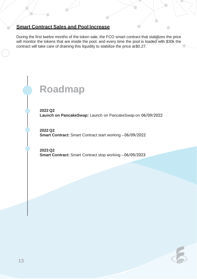#### **Smart Contract Sales and Pool Increase**

During the first twelve months of the token sale, the FCO smart contract that stabilizes the price will monitor the tokens that are inside the pool, and every time the pool is loaded with \$30k the contract will take care of draining this liquidity to stabilize the price at \$0.27.

## **Roadmap**

**2022 Q2 Launch on PancakeSwap:** Launch on PancakeSwap on 06/09/2022

**2022 Q2 Smart Contract:** Smart Contract start working – 06/09/2022

**2023 Q2 Smart Contract:** Smart Contract stop working – 06/09/2023



 $\bigcirc$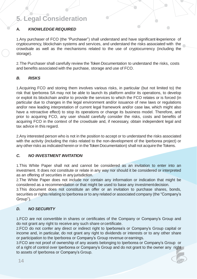## **5. Legal Consideration**

#### **A.** *KNOWLEDGE REQUIRED*

1.Any purchaser of FCO (the "Purchaser") shall understand and have significant experience of cryptocurrency, blockchain systems and services, and understand the risks associated with the crowdsale as well as the mechanisms related to the use of cryptocurrency (including the storage).

2.The Purchaser shall carefully review the Token Documentation to understand the risks, costs and benefits associated with the purchase, storage and use of FCO.

#### *B. RISKS*

1.Acquiring FCO and storing them involves various risks, in particular (but not limited to) the risk that Iperborea SA may not be able to launch its platform and/or its operations, to develop or exploit its blockchain and/or to provide the services to which the FCO relates or is forced (in particular due to changes in the legal environment and/or issuance of new laws or regulations and/or new leading interpretation of current legal framework and/or case law, which might also have a retroactive effect) to stop its operations or change its business model. Therefore, and prior to acquiring FCO, any user should carefully consider the risks, costs and benefits of acquiring FCO in the context of the crowdsale and, if necessary, obtain independent legal and tax advice in this regard.

2.Any interested person who is not in the position to accept or to understand the risks associated with the activity (including the risks related to the non-development of the Iperborea project) or any other risks as indicated herein or in the Token Documentation) shall not acquire the Tokens.

#### *C. NO INVESTMENT INVITATION*

1.This White Paper shall not and cannot be considered as an invitation to enter into an investment. It does not constitute or relate in any way nor should it be considered or interpreted as an offering of securities in any jurisdiction.

2.The White Paper does not include nor contain any information or indication that might be considered as a recommendation or that might be used to base any investmentdecision.

3.This document does not constitute an offer or an invitation to purchase shares, bonds, securities or rights relating to Iperborea or to any related or associated company (the "Company's Group").

#### *D. NO SECURITY*

1.FCO are not convertible in shares or certificates of the Company or Company's Group and do not grant any right to receive any such share orcertificate.

2.FCO do not confer any direct or indirect right to Iperborea's or Company's Group capital or income and, in particular, do not grant any right to dividends or interests or to any other share or participation to the Iperborea or Company's Group revenue orearnings.

3.FCO are not proof of ownership of any assets belonging to Iperborea or Company's Group or of a right of control over Iperborea or Company's Group and do not grant to the owner any right to assets of Iperborea or Company's Group.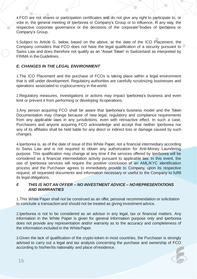4.FCO are not shares or participation certificates and do not give any right to participate to, or vote in, the general meeting of Iperborea or Company's Group or to influence, in any way, the respective corporate governance or the decisions of the corporate bodies of Iperborea or Company's Group.

5.Subject to Article G. below, based on the above, at the date of the ICO Placement, the Company considers that FCO does not have the legal qualification of a security pursuant to Swiss Law and does therefore not qualify as an "Asset Token" in Switzerland as interpreted by FINMA in theGuidelines.

#### *E. CHANGES IN THE LEGAL ENVIRONMENT*

1.The ICO Placement and the purchase of FCOs is taking place within a legal environment that is still under development. Regulatory authorities are carefully scrutinizing businesses and operations associated to cryptocurrency in the world.

2.Regulatory measures, investigations or actions may impact Iperborea's business and even limit or prevent it from performing or developing itsoperations.

3.Any person acquiring FCO shall be aware that Iperborea's business model and the Token Documentation may change because of new legal, regulatory and compliance requirements from any applicable laws in any jurisdictions, even with retroactive effect. In such a case, Purchasers and anyone acquiring FCO acknowledge and accept that neither Iperborea nor any of its affiliates shall be held liable for any direct or indirect loss or damage caused by such changes.

4.Iperborea is, as of the date of issue of this White Paper, not a financial intermediary according to Swiss Law and is not required to obtain any authorization for Anti-Money Laundering purpose. This qualification may change at any time if the services offered by Iperborea will be considered as a financial intermediation activity pursuant to applicable law. In this event, the use of Iperborea services will require the positive conclusion of an AML/KYC identification process and the Purchaser agrees to immediately provide to Company, upon its respective request, all requested documents and information necessary or useful to the Company to fulfill its legal obligations.

#### *F. THIS IS NOT AN OFFER – NO INVESTMENT ADVICE – NOREPRESENTATIONS AND WARRANTIES*

1.This White Paper shall not be construed as an offer, personal recommendation or solicitation to conclude a transaction and should not be treated as giving investment advice.

2.Iperborea is not to be considered as an advisor in any legal, tax or financial matters. Any information in the White Paper is given for general information purpose only and Iperborea does not provide any representation and/or warranty as to the accuracy and completeness of the information included in the WhitePaper.

3.Given the lack of qualification of the crypto-token in most countries, the Purchaser is strongly advised to carry out a legal and tax analysis concerning the purchase and ownership of FCO according to his/her/its nationality and place ofresidence.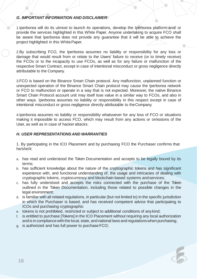#### *G. IMPORTANT INFORMATION AND DISCLAIMER*

1.Iperborea will do its utmost to launch its operations, develop the Iperborea platform and/ or provide the services highlighted in this White Paper. Anyone undertaking to acquire FCO shall be aware that Iperborea does not provide any guarantee that it will be able to achieve the project highlighted in this White Paper.

2.By subscribing FCO, the Iperborea assumes no liability or responsibility for any loss or damage that would result from or relate to the Users' failure to receive (or to timely receive) the FCOs or to the incapacity to use FCOs, as well as for any failure or malfunction of the respective Smart Contract, except in case of intentional misconduct or gross negligence directly attributable to the Company.

3.FCO is based on the Binance Smart Chain protocol. Any malfunction, unplanned function or unexpected operation of the Binance Smart Chain protocol may cause the Iperborea network or FCO to malfunction or operate in a way that is not expected. Moreover, the native Binance Smart Chain Protocol account unit may itself lose value in a similar way to FCOs, and also in other ways. Iperborea assumes no liability or responsibility in this respect except in case of intentional misconduct or gross negligence directly attributable to theCompany.

4.Iperborea assumes no liability or responsibility whatsoever for any loss of FCO or situations making it impossible to access FCO, which may result from any actions or omissions of the User, as well as in case of hacker attacks.

#### *H. USER REPRESENTATIONS AND WARRANTIES*

1. By participating in the ICO Placement and by purchasing FCO the Purchaser confirms that he/she/it:

- a. has read and understood the Token Documentation and accepts to be legally bound by its terms;
- b. has sufficient knowledge about the nature of the cryptographic tokens and has significant experience with, and functional understanding of, the usage and intricacies of dealing with cryptographic tokens, cryptocurrency and blockchain-based systems andservices;
- c. has fully understood and accepts the risks connected with the purchase of the Token outlined in the Token Documentation, including those related to possible changes in the legal environment;
- d. is familiar with all related regulations, in particular (but not limited to) in the specific jurisdiction in which the Purchaser is based, and has received competent advice that participating to ICOs and purchasing cryptographic
- e. tokens is not prohibited, restricted or subject to additional conditions of anykind;
- f. is entitled to purchase [Tokens] in the ICO Placement without requiring any local authorization and is in compliance with the local, state, and national laws and regulations when purchasing;
- g. is authorized and has full power to purchase FCO;

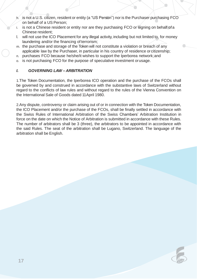- h. is not a U.S. citizen, resident or entity (a "US Person") nor is the Purchaser purchasing FCO on behalf of a US Person;
- i. is not a Chinese resident or entity nor are they purchasing FCO or signing on behalf ofa Chinese resident;
- l. will not use the ICO Placement for any illegal activity, including but not limited to, for money laundering and/or the financing of terrorism;
- m. the purchase and storage of the Token will not constitute a violation or breach of any applicable law by the Purchaser, in particular in his country of residence or citizenship;
- n. purchases FCO because he/she/it wishes to support the Iperborea network;and
- o. is not purchasing FCO for the purpose of speculative investment orusage.

#### *I. GOVERNING LAW – ARBITRATION*

1.The Token Documentation, the Iperborea ICO operation and the purchase of the FCOs shall be governed by and construed in accordance with the substantive laws of Switzerland without regard to the conflicts of law rules and without regard to the rules of the Vienna Convention on the International Sale of Goods dated 11April 1980.

2.Any dispute, controversy or claim arising out of or in connection with the Token Documentation, the ICO Placement and/or the purchase of the FCOs, shall be finally settled in accordance with the Swiss Rules of International Arbitration of the Swiss Chambers' Arbitration Institution in force on the date on which the Notice of Arbitration is submitted in accordance with these Rules. The number of arbitrators shall be 3 (three), the arbitrators to be appointed in accordance with the said Rules. The seat of the arbitration shall be Lugano, Switzerland. The language of the arbitration shall be English.